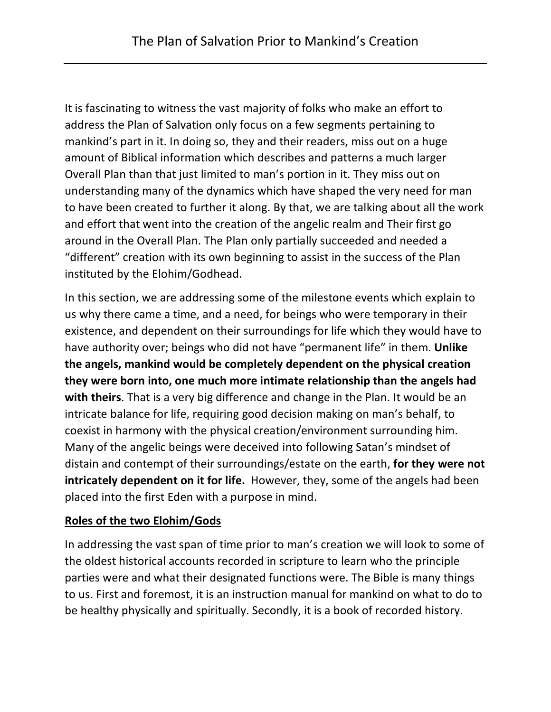It is fascinating to witness the vast majority of folks who make an effort to address the Plan of Salvation only focus on a few segments pertaining to mankind's part in it. In doing so, they and their readers, miss out on a huge amount of Biblical information which describes and patterns a much larger Overall Plan than that just limited to man's portion in it. They miss out on understanding many of the dynamics which have shaped the very need for man to have been created to further it along. By that, we are talking about all the work and effort that went into the creation of the angelic realm and Their first go around in the Overall Plan. The Plan only partially succeeded and needed a "different" creation with its own beginning to assist in the success of the Plan instituted by the Elohim/Godhead.

In this section, we are addressing some of the milestone events which explain to us why there came a time, and a need, for beings who were temporary in their existence, and dependent on their surroundings for life which they would have to have authority over; beings who did not have "permanent life" in them. **Unlike the angels, mankind would be completely dependent on the physical creation they were born into, one much more intimate relationship than the angels had with theirs**. That is a very big difference and change in the Plan. It would be an intricate balance for life, requiring good decision making on man's behalf, to coexist in harmony with the physical creation/environment surrounding him. Many of the angelic beings were deceived into following Satan's mindset of distain and contempt of their surroundings/estate on the earth, **for they were not intricately dependent on it for life.** However, they, some of the angels had been placed into the first Eden with a purpose in mind.

#### **Roles of the two Elohim/Gods**

In addressing the vast span of time prior to man's creation we will look to some of the oldest historical accounts recorded in scripture to learn who the principle parties were and what their designated functions were. The Bible is many things to us. First and foremost, it is an instruction manual for mankind on what to do to be healthy physically and spiritually. Secondly, it is a book of recorded history.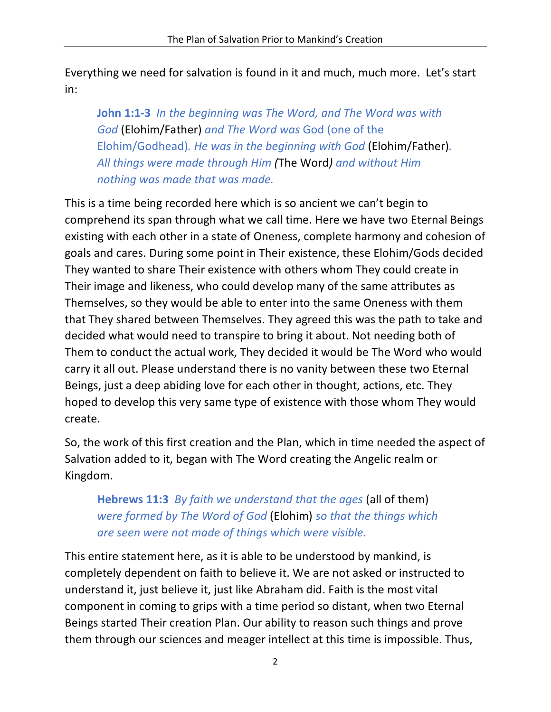Everything we need for salvation is found in it and much, much more. Let's start in:

**John 1:1-3** *In the beginning was The Word, and The Word was with God* (Elohim/Father) *and The Word was* God (one of the Elohim/Godhead)*. He was in the beginning with God* (Elohim/Father)*. All things were made through Him (*The Word*) and without Him nothing was made that was made.*

This is a time being recorded here which is so ancient we can't begin to comprehend its span through what we call time. Here we have two Eternal Beings existing with each other in a state of Oneness, complete harmony and cohesion of goals and cares. During some point in Their existence, these Elohim/Gods decided They wanted to share Their existence with others whom They could create in Their image and likeness, who could develop many of the same attributes as Themselves, so they would be able to enter into the same Oneness with them that They shared between Themselves. They agreed this was the path to take and decided what would need to transpire to bring it about. Not needing both of Them to conduct the actual work, They decided it would be The Word who would carry it all out. Please understand there is no vanity between these two Eternal Beings, just a deep abiding love for each other in thought, actions, etc. They hoped to develop this very same type of existence with those whom They would create.

So, the work of this first creation and the Plan, which in time needed the aspect of Salvation added to it, began with The Word creating the Angelic realm or Kingdom.

**Hebrews 11:3** *By faith we understand that the ages* (all of them) *were formed by The Word of God* (Elohim) *so that the things which are seen were not made of things which were visible.*

This entire statement here, as it is able to be understood by mankind, is completely dependent on faith to believe it. We are not asked or instructed to understand it, just believe it, just like Abraham did. Faith is the most vital component in coming to grips with a time period so distant, when two Eternal Beings started Their creation Plan. Our ability to reason such things and prove them through our sciences and meager intellect at this time is impossible. Thus,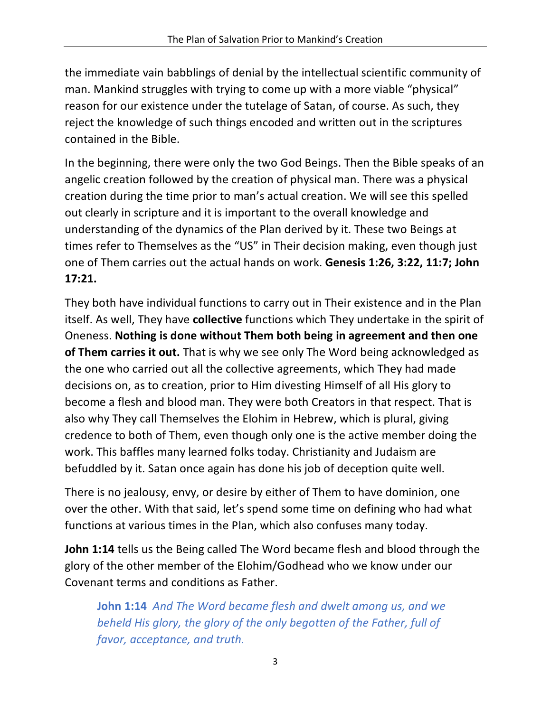the immediate vain babblings of denial by the intellectual scientific community of man. Mankind struggles with trying to come up with a more viable "physical" reason for our existence under the tutelage of Satan, of course. As such, they reject the knowledge of such things encoded and written out in the scriptures contained in the Bible.

In the beginning, there were only the two God Beings. Then the Bible speaks of an angelic creation followed by the creation of physical man. There was a physical creation during the time prior to man's actual creation. We will see this spelled out clearly in scripture and it is important to the overall knowledge and understanding of the dynamics of the Plan derived by it. These two Beings at times refer to Themselves as the "US" in Their decision making, even though just one of Them carries out the actual hands on work. **Genesis 1:26, 3:22, 11:7; John 17:21.** 

They both have individual functions to carry out in Their existence and in the Plan itself. As well, They have **collective** functions which They undertake in the spirit of Oneness. **Nothing is done without Them both being in agreement and then one of Them carries it out.** That is why we see only The Word being acknowledged as the one who carried out all the collective agreements, which They had made decisions on, as to creation, prior to Him divesting Himself of all His glory to become a flesh and blood man. They were both Creators in that respect. That is also why They call Themselves the Elohim in Hebrew, which is plural, giving credence to both of Them, even though only one is the active member doing the work. This baffles many learned folks today. Christianity and Judaism are befuddled by it. Satan once again has done his job of deception quite well.

There is no jealousy, envy, or desire by either of Them to have dominion, one over the other. With that said, let's spend some time on defining who had what functions at various times in the Plan, which also confuses many today.

**John 1:14** tells us the Being called The Word became flesh and blood through the glory of the other member of the Elohim/Godhead who we know under our Covenant terms and conditions as Father.

**John 1:14** *And The Word became flesh and dwelt among us, and we beheld His glory, the glory of the only begotten of the Father, full of favor, acceptance, and truth.*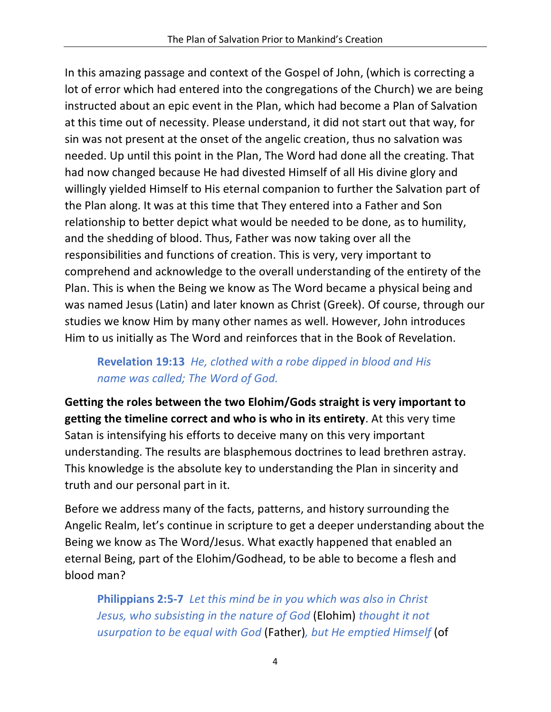In this amazing passage and context of the Gospel of John, (which is correcting a lot of error which had entered into the congregations of the Church) we are being instructed about an epic event in the Plan, which had become a Plan of Salvation at this time out of necessity. Please understand, it did not start out that way, for sin was not present at the onset of the angelic creation, thus no salvation was needed. Up until this point in the Plan, The Word had done all the creating. That had now changed because He had divested Himself of all His divine glory and willingly yielded Himself to His eternal companion to further the Salvation part of the Plan along. It was at this time that They entered into a Father and Son relationship to better depict what would be needed to be done, as to humility, and the shedding of blood. Thus, Father was now taking over all the responsibilities and functions of creation. This is very, very important to comprehend and acknowledge to the overall understanding of the entirety of the Plan. This is when the Being we know as The Word became a physical being and was named Jesus (Latin) and later known as Christ (Greek). Of course, through our studies we know Him by many other names as well. However, John introduces Him to us initially as The Word and reinforces that in the Book of Revelation.

## **Revelation 19:13** *He, clothed with a robe dipped in blood and His name was called; The Word of God.*

**Getting the roles between the two Elohim/Gods straight is very important to getting the timeline correct and who is who in its entirety**. At this very time Satan is intensifying his efforts to deceive many on this very important understanding. The results are blasphemous doctrines to lead brethren astray. This knowledge is the absolute key to understanding the Plan in sincerity and truth and our personal part in it.

Before we address many of the facts, patterns, and history surrounding the Angelic Realm, let's continue in scripture to get a deeper understanding about the Being we know as The Word/Jesus. What exactly happened that enabled an eternal Being, part of the Elohim/Godhead, to be able to become a flesh and blood man?

**Philippians 2:5-7** *Let this mind be in you which was also in Christ Jesus, who subsisting in the nature of God* (Elohim) *thought it not usurpation to be equal with God* (Father)*, but He emptied Himself* (of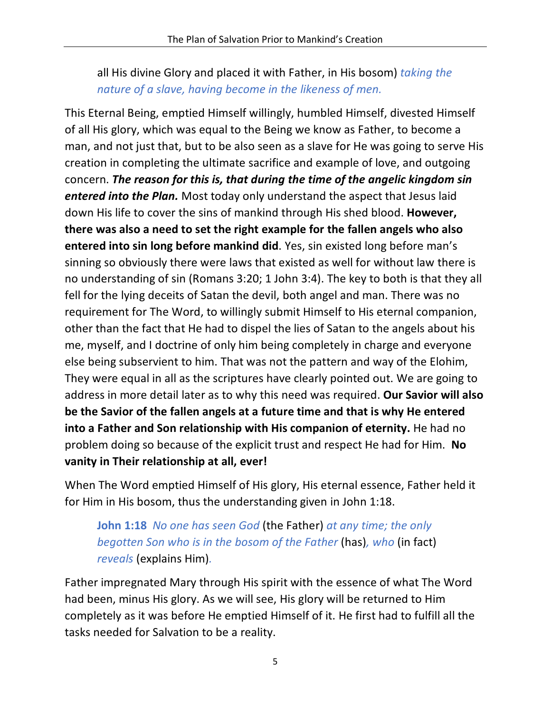all His divine Glory and placed it with Father, in His bosom) *taking the nature of a slave, having become in the likeness of men.*

This Eternal Being, emptied Himself willingly, humbled Himself, divested Himself of all His glory, which was equal to the Being we know as Father, to become a man, and not just that, but to be also seen as a slave for He was going to serve His creation in completing the ultimate sacrifice and example of love, and outgoing concern. *The reason for this is, that during the time of the angelic kingdom sin entered into the Plan.* Most today only understand the aspect that Jesus laid down His life to cover the sins of mankind through His shed blood. **However, there was also a need to set the right example for the fallen angels who also entered into sin long before mankind did**. Yes, sin existed long before man's sinning so obviously there were laws that existed as well for without law there is no understanding of sin (Romans 3:20; 1 John 3:4). The key to both is that they all fell for the lying deceits of Satan the devil, both angel and man. There was no requirement for The Word, to willingly submit Himself to His eternal companion, other than the fact that He had to dispel the lies of Satan to the angels about his me, myself, and I doctrine of only him being completely in charge and everyone else being subservient to him. That was not the pattern and way of the Elohim, They were equal in all as the scriptures have clearly pointed out. We are going to address in more detail later as to why this need was required. **Our Savior will also be the Savior of the fallen angels at a future time and that is why He entered into a Father and Son relationship with His companion of eternity.** He had no problem doing so because of the explicit trust and respect He had for Him. **No vanity in Their relationship at all, ever!**

When The Word emptied Himself of His glory, His eternal essence, Father held it for Him in His bosom, thus the understanding given in John 1:18.

**John 1:18** *No one has seen God* (the Father) *at any time; the only begotten Son who is in the bosom of the Father* (has)*, who* (in fact) *reveals* (explains Him)*.*

Father impregnated Mary through His spirit with the essence of what The Word had been, minus His glory. As we will see, His glory will be returned to Him completely as it was before He emptied Himself of it. He first had to fulfill all the tasks needed for Salvation to be a reality.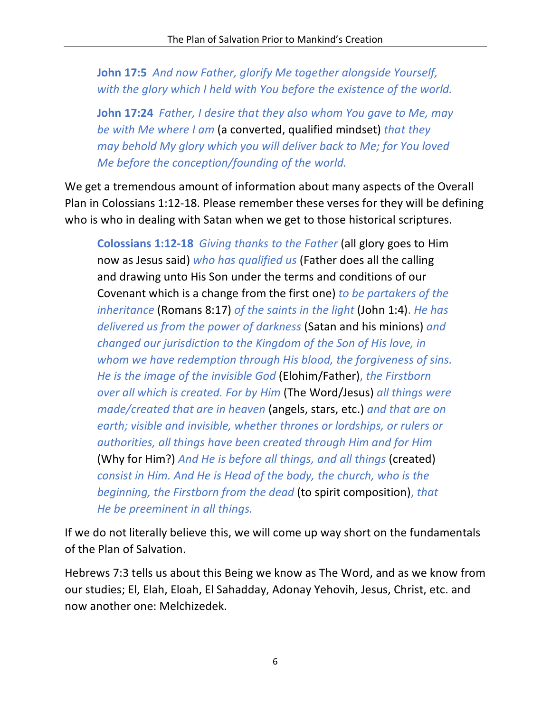**John 17:5** *And now Father, glorify Me together alongside Yourself, with the glory which I held with You before the existence of the world.*

**John 17:24** *Father, I desire that they also whom You gave to Me, may be with Me where I am* (a converted, qualified mindset) *that they may behold My glory which you will deliver back to Me; for You loved Me before the conception/founding of the world.*

We get a tremendous amount of information about many aspects of the Overall Plan in Colossians 1:12-18. Please remember these verses for they will be defining who is who in dealing with Satan when we get to those historical scriptures.

**Colossians 1:12-18** *Giving thanks to the Father* (all glory goes to Him now as Jesus said) *who has qualified us* (Father does all the calling and drawing unto His Son under the terms and conditions of our Covenant which is a change from the first one) *to be partakers of the inheritance* (Romans 8:17) *of the saints in the light* (John 1:4). *He has delivered us from the power of darkness* (Satan and his minions) *and changed our jurisdiction to the Kingdom of the Son of His love, in whom we have redemption through His blood, the forgiveness of sins. He is the image of the invisible God* (Elohim/Father), *the Firstborn over all which is created. For by Him* (The Word/Jesus) *all things were made/created that are in heaven* (angels, stars, etc.) *and that are on earth; visible and invisible, whether thrones or lordships, or rulers or authorities, all things have been created through Him and for Him* (Why for Him?) *And He is before all things, and all things* (created) *consist in Him. And He is Head of the body, the church, who is the beginning, the Firstborn from the dead* (to spirit composition), *that He be preeminent in all things.*

If we do not literally believe this, we will come up way short on the fundamentals of the Plan of Salvation.

Hebrews 7:3 tells us about this Being we know as The Word, and as we know from our studies; El, Elah, Eloah, El Sahadday, Adonay Yehovih, Jesus, Christ, etc. and now another one: Melchizedek.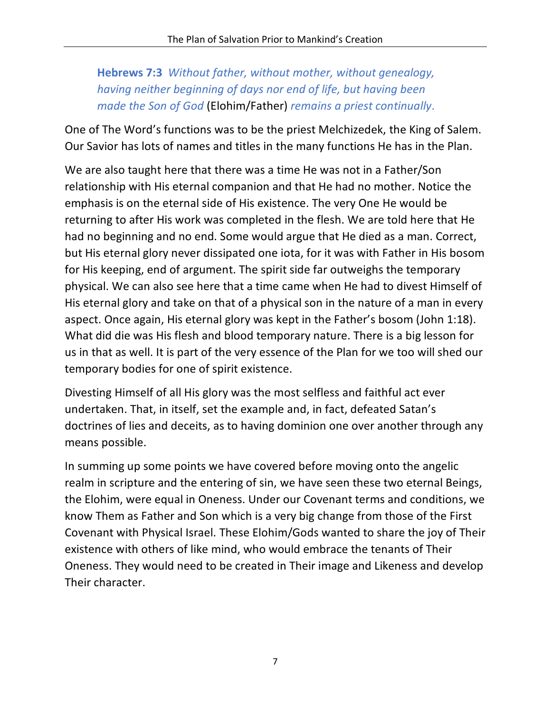# **Hebrews 7:3** *Without father, without mother, without genealogy, having neither beginning of days nor end of life, but having been made the Son of God* (Elohim/Father) *remains a priest continually*.

One of The Word's functions was to be the priest Melchizedek, the King of Salem. Our Savior has lots of names and titles in the many functions He has in the Plan.

We are also taught here that there was a time He was not in a Father/Son relationship with His eternal companion and that He had no mother. Notice the emphasis is on the eternal side of His existence. The very One He would be returning to after His work was completed in the flesh. We are told here that He had no beginning and no end. Some would argue that He died as a man. Correct, but His eternal glory never dissipated one iota, for it was with Father in His bosom for His keeping, end of argument. The spirit side far outweighs the temporary physical. We can also see here that a time came when He had to divest Himself of His eternal glory and take on that of a physical son in the nature of a man in every aspect. Once again, His eternal glory was kept in the Father's bosom (John 1:18). What did die was His flesh and blood temporary nature. There is a big lesson for us in that as well. It is part of the very essence of the Plan for we too will shed our temporary bodies for one of spirit existence.

Divesting Himself of all His glory was the most selfless and faithful act ever undertaken. That, in itself, set the example and, in fact, defeated Satan's doctrines of lies and deceits, as to having dominion one over another through any means possible.

In summing up some points we have covered before moving onto the angelic realm in scripture and the entering of sin, we have seen these two eternal Beings, the Elohim, were equal in Oneness. Under our Covenant terms and conditions, we know Them as Father and Son which is a very big change from those of the First Covenant with Physical Israel. These Elohim/Gods wanted to share the joy of Their existence with others of like mind, who would embrace the tenants of Their Oneness. They would need to be created in Their image and Likeness and develop Their character.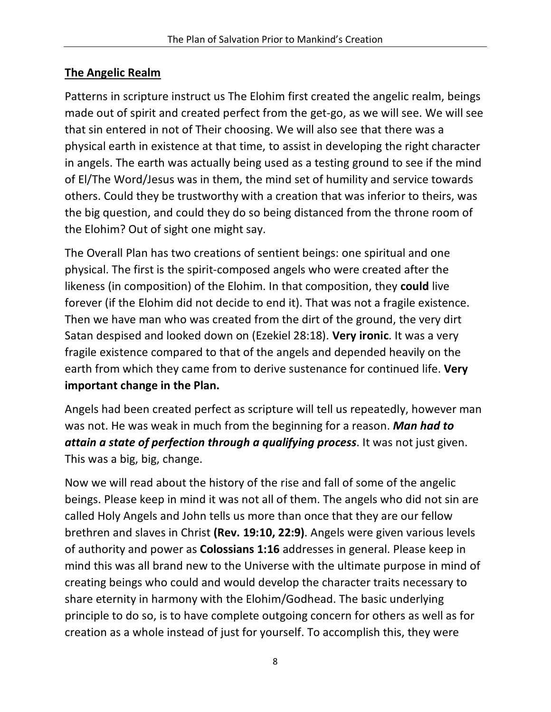#### **The Angelic Realm**

Patterns in scripture instruct us The Elohim first created the angelic realm, beings made out of spirit and created perfect from the get-go, as we will see. We will see that sin entered in not of Their choosing. We will also see that there was a physical earth in existence at that time, to assist in developing the right character in angels. The earth was actually being used as a testing ground to see if the mind of El/The Word/Jesus was in them, the mind set of humility and service towards others. Could they be trustworthy with a creation that was inferior to theirs, was the big question, and could they do so being distanced from the throne room of the Elohim? Out of sight one might say.

The Overall Plan has two creations of sentient beings: one spiritual and one physical. The first is the spirit-composed angels who were created after the likeness (in composition) of the Elohim. In that composition, they **could** live forever (if the Elohim did not decide to end it). That was not a fragile existence. Then we have man who was created from the dirt of the ground, the very dirt Satan despised and looked down on (Ezekiel 28:18). **Very ironic**. It was a very fragile existence compared to that of the angels and depended heavily on the earth from which they came from to derive sustenance for continued life. **Very important change in the Plan.** 

Angels had been created perfect as scripture will tell us repeatedly, however man was not. He was weak in much from the beginning for a reason. *Man had to attain a state of perfection through a qualifying process*. It was not just given. This was a big, big, change.

Now we will read about the history of the rise and fall of some of the angelic beings. Please keep in mind it was not all of them. The angels who did not sin are called Holy Angels and John tells us more than once that they are our fellow brethren and slaves in Christ **(Rev. 19:10, 22:9)**. Angels were given various levels of authority and power as **Colossians 1:16** addresses in general. Please keep in mind this was all brand new to the Universe with the ultimate purpose in mind of creating beings who could and would develop the character traits necessary to share eternity in harmony with the Elohim/Godhead. The basic underlying principle to do so, is to have complete outgoing concern for others as well as for creation as a whole instead of just for yourself. To accomplish this, they were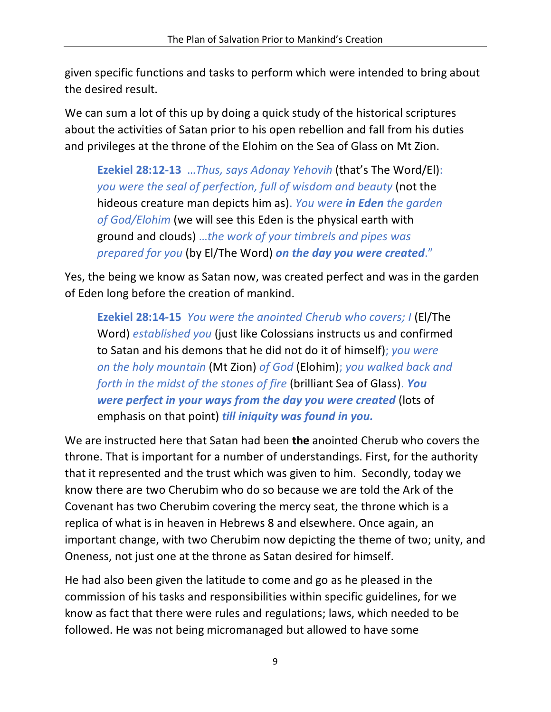given specific functions and tasks to perform which were intended to bring about the desired result.

We can sum a lot of this up by doing a quick study of the historical scriptures about the activities of Satan prior to his open rebellion and fall from his duties and privileges at the throne of the Elohim on the Sea of Glass on Mt Zion.

**Ezekiel 28:12-13** …*Thus, says Adonay Yehovih* (that's The Word/El): *you were the seal of perfection, full of wisdom and beauty* (not the hideous creature man depicts him as). *You were in Eden the garden of God/Elohim* (we will see this Eden is the physical earth with ground and clouds) …*the work of your timbrels and pipes was prepared for you* (by El/The Word) *on the day you were created*."

Yes, the being we know as Satan now, was created perfect and was in the garden of Eden long before the creation of mankind.

**Ezekiel 28:14-15** *You were the anointed Cherub who covers; I* (El/The Word) *established you* (just like Colossians instructs us and confirmed to Satan and his demons that he did not do it of himself); *you were on the holy mountain* (Mt Zion) *of God* (Elohim); *you walked back and forth in the midst of the stones of fire* (brilliant Sea of Glass). *You were perfect in your ways from the day you were created* (lots of emphasis on that point) *till iniquity was found in you.*

We are instructed here that Satan had been **the** anointed Cherub who covers the throne. That is important for a number of understandings. First, for the authority that it represented and the trust which was given to him. Secondly, today we know there are two Cherubim who do so because we are told the Ark of the Covenant has two Cherubim covering the mercy seat, the throne which is a replica of what is in heaven in Hebrews 8 and elsewhere. Once again, an important change, with two Cherubim now depicting the theme of two; unity, and Oneness, not just one at the throne as Satan desired for himself.

He had also been given the latitude to come and go as he pleased in the commission of his tasks and responsibilities within specific guidelines, for we know as fact that there were rules and regulations; laws, which needed to be followed. He was not being micromanaged but allowed to have some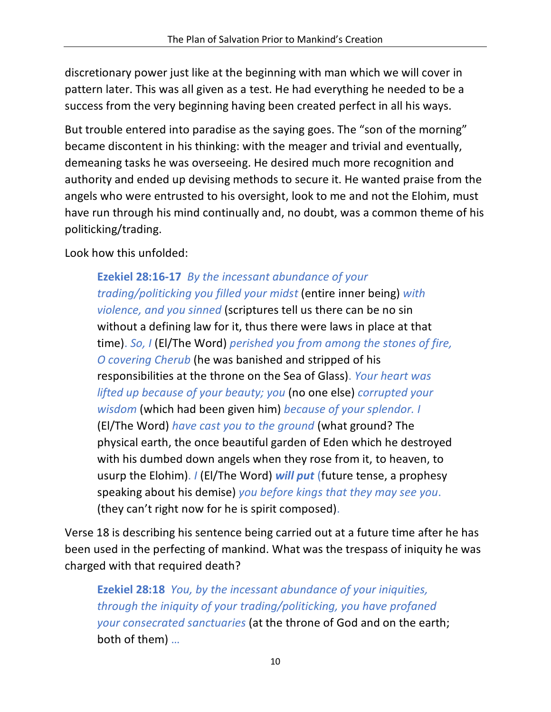discretionary power just like at the beginning with man which we will cover in pattern later. This was all given as a test. He had everything he needed to be a success from the very beginning having been created perfect in all his ways.

But trouble entered into paradise as the saying goes. The "son of the morning" became discontent in his thinking: with the meager and trivial and eventually, demeaning tasks he was overseeing. He desired much more recognition and authority and ended up devising methods to secure it. He wanted praise from the angels who were entrusted to his oversight, look to me and not the Elohim, must have run through his mind continually and, no doubt, was a common theme of his politicking/trading.

Look how this unfolded:

**Ezekiel 28:16-17** *By the incessant abundance of your trading/politicking you filled your midst* (entire inner being) *with violence, and you sinned* (scriptures tell us there can be no sin without a defining law for it, thus there were laws in place at that time). *So, I* (El/The Word) *perished you from among the stones of fire, O covering Cherub* (he was banished and stripped of his responsibilities at the throne on the Sea of Glass). *Your heart was lifted up because of your beauty; you* (no one else) *corrupted your wisdom* (which had been given him) *because of your splendor. I*  (El/The Word) *have cast you to the ground* (what ground? The physical earth, the once beautiful garden of Eden which he destroyed with his dumbed down angels when they rose from it, to heaven, to usurp the Elohim). *I* (El/The Word) *will put* (future tense, a prophesy speaking about his demise) *you before kings that they may see you*. (they can't right now for he is spirit composed).

Verse 18 is describing his sentence being carried out at a future time after he has been used in the perfecting of mankind. What was the trespass of iniquity he was charged with that required death?

**Ezekiel 28:18** *You, by the incessant abundance of your iniquities, through the iniquity of your trading/politicking, you have profaned your consecrated sanctuaries* (at the throne of God and on the earth; both of them) …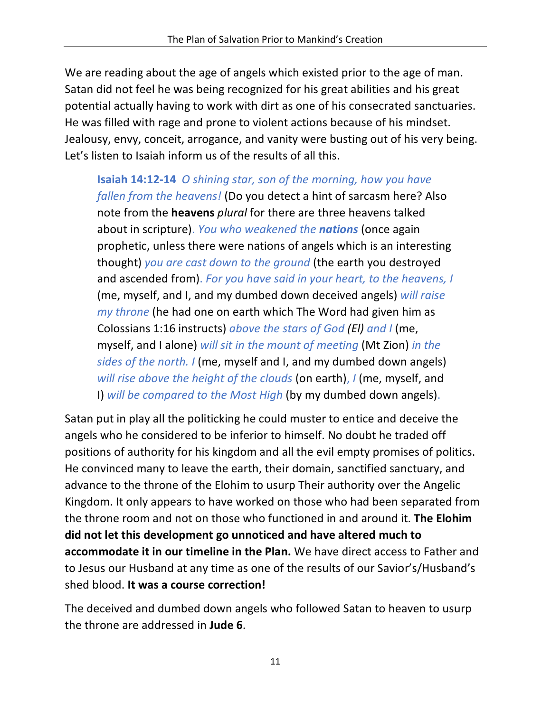We are reading about the age of angels which existed prior to the age of man. Satan did not feel he was being recognized for his great abilities and his great potential actually having to work with dirt as one of his consecrated sanctuaries. He was filled with rage and prone to violent actions because of his mindset. Jealousy, envy, conceit, arrogance, and vanity were busting out of his very being. Let's listen to Isaiah inform us of the results of all this.

**Isaiah 14:12-14** *O shining star, son of the morning, how you have fallen from the heavens!* (Do you detect a hint of sarcasm here? Also note from the **heavens** *plural* for there are three heavens talked about in scripture). *You who weakened the nations* (once again prophetic, unless there were nations of angels which is an interesting thought) *you are cast down to the ground* (the earth you destroyed and ascended from). *For you have said in your heart, to the heavens, I* (me, myself, and I, and my dumbed down deceived angels) *will raise my throne* (he had one on earth which The Word had given him as Colossians 1:16 instructs) *above the stars of God (El) and I* (me, myself, and I alone) *will sit in the mount of meeting* (Mt Zion) *in the sides of the north. I* (me, myself and I, and my dumbed down angels) *will rise above the height of the clouds* (on earth), *I* (me, myself, and I) *will be compared to the Most High* (by my dumbed down angels).

Satan put in play all the politicking he could muster to entice and deceive the angels who he considered to be inferior to himself. No doubt he traded off positions of authority for his kingdom and all the evil empty promises of politics. He convinced many to leave the earth, their domain, sanctified sanctuary, and advance to the throne of the Elohim to usurp Their authority over the Angelic Kingdom. It only appears to have worked on those who had been separated from the throne room and not on those who functioned in and around it. **The Elohim did not let this development go unnoticed and have altered much to accommodate it in our timeline in the Plan.** We have direct access to Father and to Jesus our Husband at any time as one of the results of our Savior's/Husband's shed blood. **It was a course correction!**

The deceived and dumbed down angels who followed Satan to heaven to usurp the throne are addressed in **Jude 6**.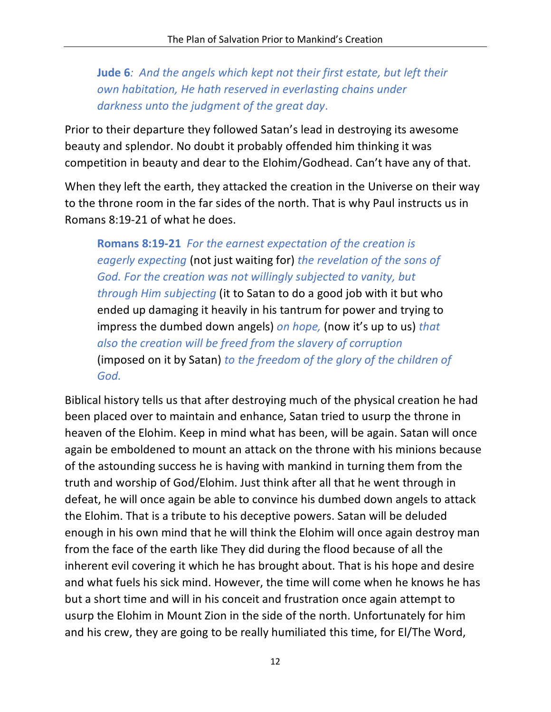**Jude 6***: And the angels which kept not their first estate, but left their own habitation, He hath reserved in everlasting chains under darkness unto the judgment of the great day*.

Prior to their departure they followed Satan's lead in destroying its awesome beauty and splendor. No doubt it probably offended him thinking it was competition in beauty and dear to the Elohim/Godhead. Can't have any of that.

When they left the earth, they attacked the creation in the Universe on their way to the throne room in the far sides of the north. That is why Paul instructs us in Romans 8:19-21 of what he does.

**Romans 8:19-21** *For the earnest expectation of the creation is eagerly expecting* (not just waiting for) *the revelation of the sons of God. For the creation was not willingly subjected to vanity, but through Him subjecting* (it to Satan to do a good job with it but who ended up damaging it heavily in his tantrum for power and trying to impress the dumbed down angels) *on hope,* (now it's up to us) *that also the creation will be freed from the slavery of corruption* (imposed on it by Satan) *to the freedom of the glory of the children of God.*

Biblical history tells us that after destroying much of the physical creation he had been placed over to maintain and enhance, Satan tried to usurp the throne in heaven of the Elohim. Keep in mind what has been, will be again. Satan will once again be emboldened to mount an attack on the throne with his minions because of the astounding success he is having with mankind in turning them from the truth and worship of God/Elohim. Just think after all that he went through in defeat, he will once again be able to convince his dumbed down angels to attack the Elohim. That is a tribute to his deceptive powers. Satan will be deluded enough in his own mind that he will think the Elohim will once again destroy man from the face of the earth like They did during the flood because of all the inherent evil covering it which he has brought about. That is his hope and desire and what fuels his sick mind. However, the time will come when he knows he has but a short time and will in his conceit and frustration once again attempt to usurp the Elohim in Mount Zion in the side of the north. Unfortunately for him and his crew, they are going to be really humiliated this time, for El/The Word,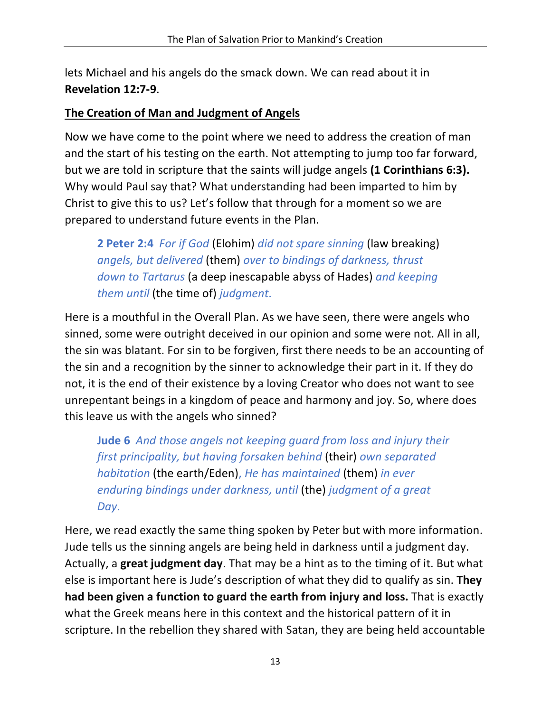lets Michael and his angels do the smack down. We can read about it in **Revelation 12:7-9**.

#### **The Creation of Man and Judgment of Angels**

Now we have come to the point where we need to address the creation of man and the start of his testing on the earth. Not attempting to jump too far forward, but we are told in scripture that the saints will judge angels **(1 Corinthians 6:3).** Why would Paul say that? What understanding had been imparted to him by Christ to give this to us? Let's follow that through for a moment so we are prepared to understand future events in the Plan.

**2 Peter 2:4** *For if God* (Elohim) *did not spare sinning* (law breaking) *angels, but delivered* (them) *over to bindings of darkness, thrust down to Tartarus* (a deep inescapable abyss of Hades) *and keeping them until* (the time of) *judgment*.

Here is a mouthful in the Overall Plan. As we have seen, there were angels who sinned, some were outright deceived in our opinion and some were not. All in all, the sin was blatant. For sin to be forgiven, first there needs to be an accounting of the sin and a recognition by the sinner to acknowledge their part in it. If they do not, it is the end of their existence by a loving Creator who does not want to see unrepentant beings in a kingdom of peace and harmony and joy. So, where does this leave us with the angels who sinned?

**Jude 6** *And those angels not keeping guard from loss and injury their first principality, but having forsaken behind* (their) *own separated habitation* (the earth/Eden), *He has maintained* (them) *in ever enduring bindings under darkness, until* (the) *judgment of a great Day*.

Here, we read exactly the same thing spoken by Peter but with more information. Jude tells us the sinning angels are being held in darkness until a judgment day. Actually, a **great judgment day**. That may be a hint as to the timing of it. But what else is important here is Jude's description of what they did to qualify as sin. **They had been given a function to guard the earth from injury and loss.** That is exactly what the Greek means here in this context and the historical pattern of it in scripture. In the rebellion they shared with Satan, they are being held accountable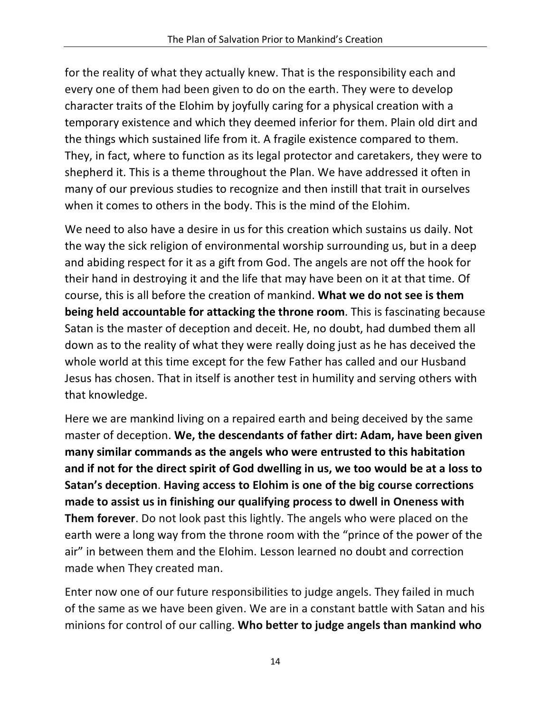for the reality of what they actually knew. That is the responsibility each and every one of them had been given to do on the earth. They were to develop character traits of the Elohim by joyfully caring for a physical creation with a temporary existence and which they deemed inferior for them. Plain old dirt and the things which sustained life from it. A fragile existence compared to them. They, in fact, where to function as its legal protector and caretakers, they were to shepherd it. This is a theme throughout the Plan. We have addressed it often in many of our previous studies to recognize and then instill that trait in ourselves when it comes to others in the body. This is the mind of the Elohim.

We need to also have a desire in us for this creation which sustains us daily. Not the way the sick religion of environmental worship surrounding us, but in a deep and abiding respect for it as a gift from God. The angels are not off the hook for their hand in destroying it and the life that may have been on it at that time. Of course, this is all before the creation of mankind. **What we do not see is them being held accountable for attacking the throne room**. This is fascinating because Satan is the master of deception and deceit. He, no doubt, had dumbed them all down as to the reality of what they were really doing just as he has deceived the whole world at this time except for the few Father has called and our Husband Jesus has chosen. That in itself is another test in humility and serving others with that knowledge.

Here we are mankind living on a repaired earth and being deceived by the same master of deception. **We, the descendants of father dirt: Adam, have been given many similar commands as the angels who were entrusted to this habitation and if not for the direct spirit of God dwelling in us, we too would be at a loss to Satan's deception**. **Having access to Elohim is one of the big course corrections made to assist us in finishing our qualifying process to dwell in Oneness with Them forever**. Do not look past this lightly. The angels who were placed on the earth were a long way from the throne room with the "prince of the power of the air" in between them and the Elohim. Lesson learned no doubt and correction made when They created man.

Enter now one of our future responsibilities to judge angels. They failed in much of the same as we have been given. We are in a constant battle with Satan and his minions for control of our calling. **Who better to judge angels than mankind who**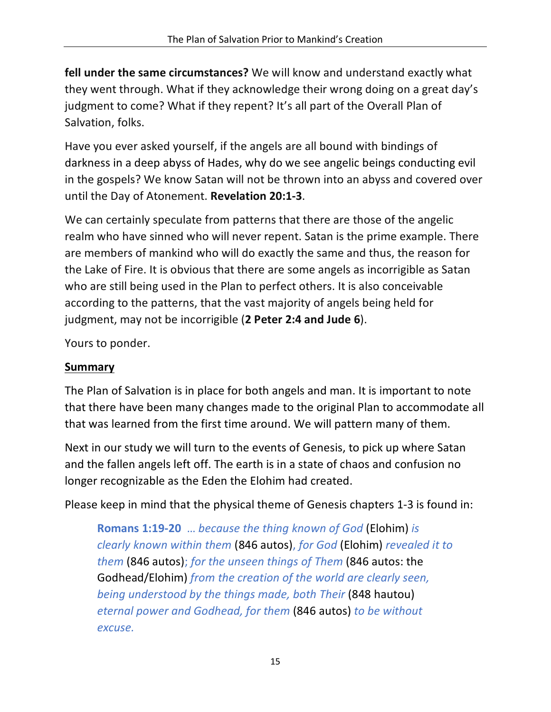**fell under the same circumstances?** We will know and understand exactly what they went through. What if they acknowledge their wrong doing on a great day's judgment to come? What if they repent? It's all part of the Overall Plan of Salvation, folks.

Have you ever asked yourself, if the angels are all bound with bindings of darkness in a deep abyss of Hades, why do we see angelic beings conducting evil in the gospels? We know Satan will not be thrown into an abyss and covered over until the Day of Atonement. **Revelation 20:1-3**.

We can certainly speculate from patterns that there are those of the angelic realm who have sinned who will never repent. Satan is the prime example. There are members of mankind who will do exactly the same and thus, the reason for the Lake of Fire. It is obvious that there are some angels as incorrigible as Satan who are still being used in the Plan to perfect others. It is also conceivable according to the patterns, that the vast majority of angels being held for judgment, may not be incorrigible (**2 Peter 2:4 and Jude 6**).

Yours to ponder.

### **Summary**

The Plan of Salvation is in place for both angels and man. It is important to note that there have been many changes made to the original Plan to accommodate all that was learned from the first time around. We will pattern many of them.

Next in our study we will turn to the events of Genesis, to pick up where Satan and the fallen angels left off. The earth is in a state of chaos and confusion no longer recognizable as the Eden the Elohim had created.

Please keep in mind that the physical theme of Genesis chapters 1-3 is found in:

**Romans 1:19-20** … *because the thing known of God* (Elohim) *is clearly known within them* (846 autos), *for God* (Elohim) *revealed it to them* (846 autos); *for the unseen things of Them* (846 autos: the Godhead/Elohim) *from the creation of the world are clearly seen, being understood by the things made, both Their* (848 hautou) *eternal power and Godhead, for them* (846 autos) *to be without excuse.*